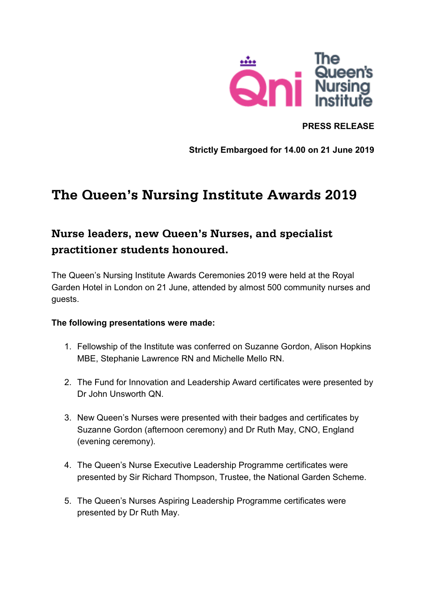

## **PRESS RELEASE**

**Strictly Embargoed for 14.00 on 21 June 2019** 

# **The Queen's Nursing Institute Awards 2019**

## **Nurse leaders, new Queen's Nurses, and specialist practitioner students honoured.**

The Queen's Nursing Institute Awards Ceremonies 2019 were held at the Royal Garden Hotel in London on 21 June, attended by almost 500 community nurses and guests.

## **The following presentations were made:**

- 1. Fellowship of the Institute was conferred on Suzanne Gordon, Alison Hopkins MBE, Stephanie Lawrence RN and Michelle Mello RN.
- 2. The Fund for Innovation and Leadership Award certificates were presented by Dr John Unsworth QN.
- 3. New Queen's Nurses were presented with their badges and certificates by Suzanne Gordon (afternoon ceremony) and Dr Ruth May, CNO, England (evening ceremony).
- 4. The Queen's Nurse Executive Leadership Programme certificates were presented by Sir Richard Thompson, Trustee, the National Garden Scheme.
- 5. The Queen's Nurses Aspiring Leadership Programme certificates were presented by Dr Ruth May.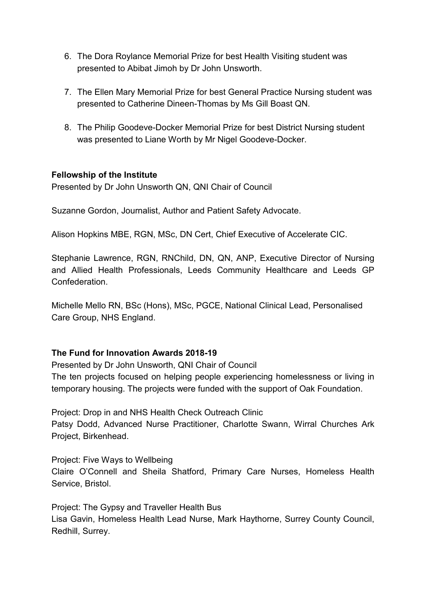- 6. The Dora Roylance Memorial Prize for best Health Visiting student was presented to Abibat Jimoh by Dr John Unsworth.
- 7. The Ellen Mary Memorial Prize for best General Practice Nursing student was presented to Catherine Dineen-Thomas by Ms Gill Boast QN.
- 8. The Philip Goodeve-Docker Memorial Prize for best District Nursing student was presented to Liane Worth by Mr Nigel Goodeve-Docker.

## **Fellowship of the Institute**

Presented by Dr John Unsworth QN, QNI Chair of Council

Suzanne Gordon, Journalist, Author and Patient Safety Advocate.

Alison Hopkins MBE, RGN, MSc, DN Cert, Chief Executive of Accelerate CIC.

Stephanie Lawrence, RGN, RNChild, DN, QN, ANP, Executive Director of Nursing and Allied Health Professionals, Leeds Community Healthcare and Leeds GP Confederation.

Michelle Mello RN, BSc (Hons), MSc, PGCE, National Clinical Lead, Personalised Care Group, NHS England.

#### **The Fund for Innovation Awards 2018-19**

Presented by Dr John Unsworth, QNI Chair of Council The ten projects focused on helping people experiencing homelessness or living in temporary housing. The projects were funded with the support of Oak Foundation.

Project: Drop in and NHS Health Check Outreach Clinic Patsy Dodd, Advanced Nurse Practitioner, Charlotte Swann, Wirral Churches Ark Project, Birkenhead.

Project: Five Ways to Wellbeing Claire O'Connell and Sheila Shatford, Primary Care Nurses, Homeless Health Service, Bristol.

Project: The Gypsy and Traveller Health Bus Lisa Gavin, Homeless Health Lead Nurse, Mark Haythorne, Surrey County Council, Redhill, Surrey.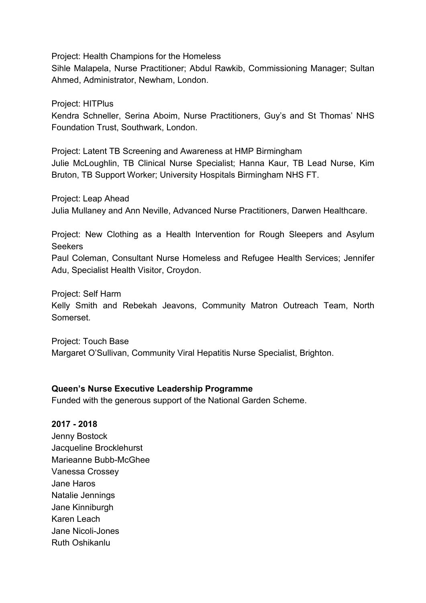Project: Health Champions for the Homeless

Sihle Malapela, Nurse Practitioner; Abdul Rawkib, Commissioning Manager; Sultan Ahmed, Administrator, Newham, London.

Project: HITPlus Kendra Schneller, Serina Aboim, Nurse Practitioners, Guy's and St Thomas' NHS Foundation Trust, Southwark, London.

Project: Latent TB Screening and Awareness at HMP Birmingham Julie McLoughlin, TB Clinical Nurse Specialist; Hanna Kaur, TB Lead Nurse, Kim Bruton, TB Support Worker; University Hospitals Birmingham NHS FT.

Project: Leap Ahead Julia Mullaney and Ann Neville, Advanced Nurse Practitioners, Darwen Healthcare.

Project: New Clothing as a Health Intervention for Rough Sleepers and Asylum Seekers

Paul Coleman, Consultant Nurse Homeless and Refugee Health Services; Jennifer Adu, Specialist Health Visitor, Croydon.

Project: Self Harm

Kelly Smith and Rebekah Jeavons, Community Matron Outreach Team, North Somerset.

Project: Touch Base Margaret O'Sullivan, Community Viral Hepatitis Nurse Specialist, Brighton.

#### **Queen's Nurse Executive Leadership Programme**

Funded with the generous support of the National Garden Scheme.

## **2017 - 2018**

Jenny Bostock Jacqueline Brocklehurst Marieanne Bubb-McGhee Vanessa Crossey Jane Haros Natalie Jennings Jane Kinniburgh Karen Leach Jane Nicoli-Jones Ruth Oshikanlu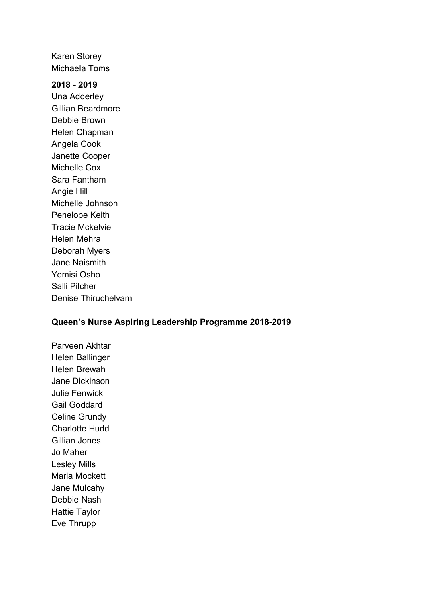## Karen Storey Michaela Toms

#### **2018 - 2019**

Una Adderley Gillian Beardmore Debbie Brown Helen Chapman Angela Cook Janette Cooper Michelle Cox Sara Fantham Angie Hill Michelle Johnson Penelope Keith Tracie Mckelvie Helen Mehra Deborah Myers Jane Naismith Yemisi Osho Salli Pilcher Denise Thiruchelvam

## **Queen's Nurse Aspiring Leadership Programme 2018-2019**

Parveen Akhtar Helen Ballinger Helen Brewah Jane Dickinson Julie Fenwick Gail Goddard Celine Grundy Charlotte Hudd Gillian Jones Jo Maher Lesley Mills Maria Mockett Jane Mulcahy Debbie Nash Hattie Taylor Eve Thrupp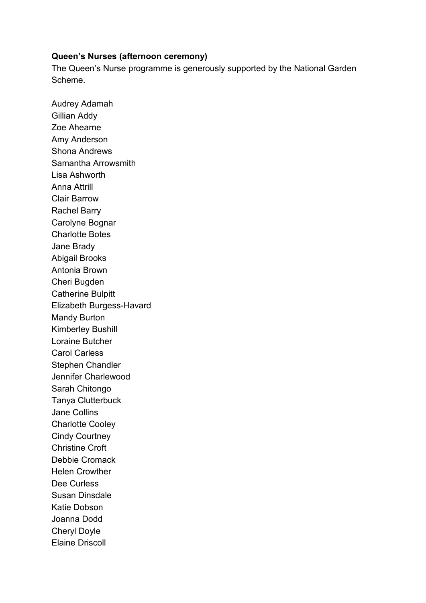## **Queen's Nurses (afternoon ceremony)**

The Queen's Nurse programme is generously supported by the National Garden Scheme.

Audrey Adamah Gillian Addy Zoe Ahearne Amy Anderson Shona Andrews Samantha Arrowsmith Lisa Ashworth Anna Attrill Clair Barrow Rachel Barry Carolyne Bognar Charlotte Botes Jane Brady Abigail Brooks Antonia Brown Cheri Bugden Catherine Bulpitt Elizabeth Burgess-Havard Mandy Burton Kimberley Bushill Loraine Butcher Carol Carless Stephen Chandler Jennifer Charlewood Sarah Chitongo Tanya Clutterbuck Jane Collins Charlotte Cooley Cindy Courtney Christine Croft Debbie Cromack Helen Crowther Dee Curless Susan Dinsdale Katie Dobson Joanna Dodd Cheryl Doyle Elaine Driscoll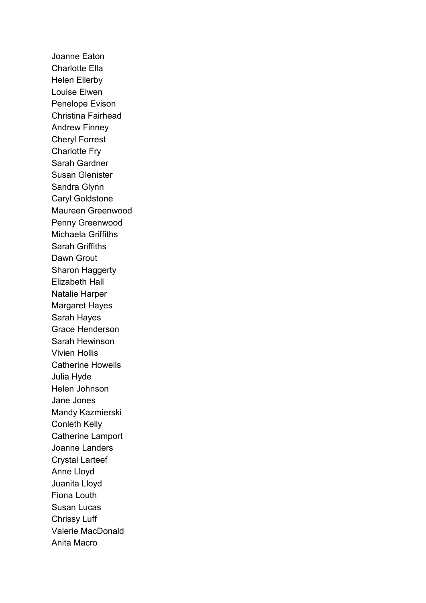Joanne Eaton Charlotte Ella Helen Ellerby Louise Elwen Penelope Evison Christina Fairhead Andrew Finney Cheryl Forrest Charlotte Fry Sarah Gardner Susan Glenister Sandra Glynn Caryl Goldstone Maureen Greenwood Penny Greenwood Michaela Griffiths Sarah Griffiths Dawn Grout Sharon Haggerty Elizabeth Hall Natalie Harper Margaret Hayes Sarah Hayes Grace Henderson Sarah Hewinson Vivien Hollis Catherine Howells Julia Hyde Helen Johnson Jane Jones Mandy Kazmierski Conleth Kelly Catherine Lamport Joanne Landers Crystal Larteef Anne Lloyd Juanita Lloyd Fiona Louth Susan Lucas Chrissy Luff Valerie MacDonald Anita Macro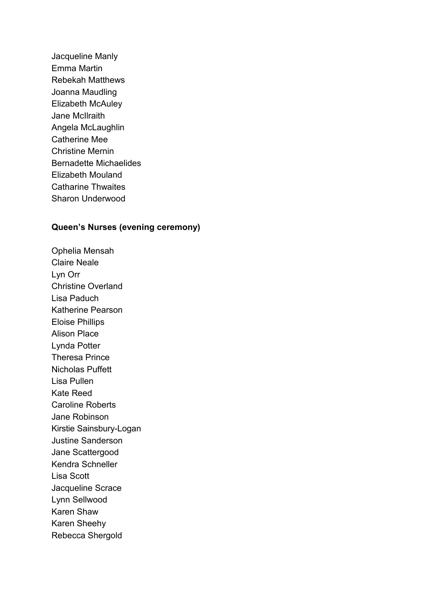Jacqueline Manly Emma Martin Rebekah Matthews Joanna Maudling Elizabeth McAuley Jane McIlraith Angela McLaughlin Catherine Mee Christine Mernin Bernadette Michaelides Elizabeth Mouland Catharine Thwaites Sharon Underwood

#### **Queen's Nurses (evening ceremony)**

Ophelia Mensah Claire Neale Lyn Orr Christine Overland Lisa Paduch Katherine Pearson Eloise Phillips Alison Place Lynda Potter Theresa Prince Nicholas Puffett Lisa Pullen Kate Reed Caroline Roberts Jane Robinson Kirstie Sainsbury-Logan Justine Sanderson Jane Scattergood Kendra Schneller Lisa Scott Jacqueline Scrace Lynn Sellwood Karen Shaw Karen Sheehy Rebecca Shergold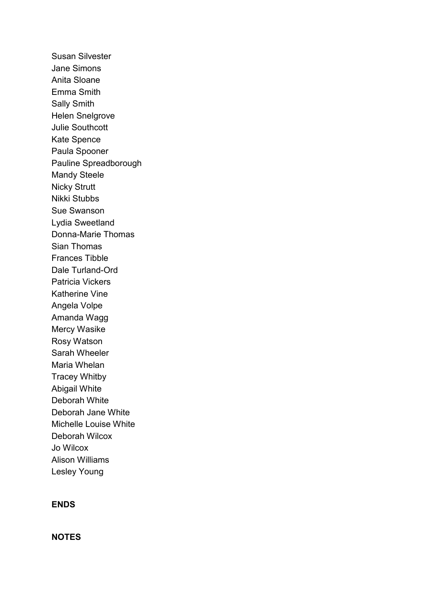Susan Silvester Jane Simons Anita Sloane Emma Smith Sally Smith Helen Snelgrove Julie Southcott Kate Spence Paula Spooner Pauline Spreadborough Mandy Steele Nicky Strutt Nikki Stubbs Sue Swanson Lydia Sweetland Donna-Marie Thomas Sian Thomas Frances Tibble Dale Turland-Ord Patricia Vickers Katherine Vine Angela Volpe Amanda Wagg Mercy Wasike Rosy Watson Sarah Wheeler Maria Whelan Tracey Whitby Abigail White Deborah White Deborah Jane White Michelle Louise White Deborah Wilcox Jo Wilcox Alison Williams Lesley Young

## **ENDS**

**NOTES**